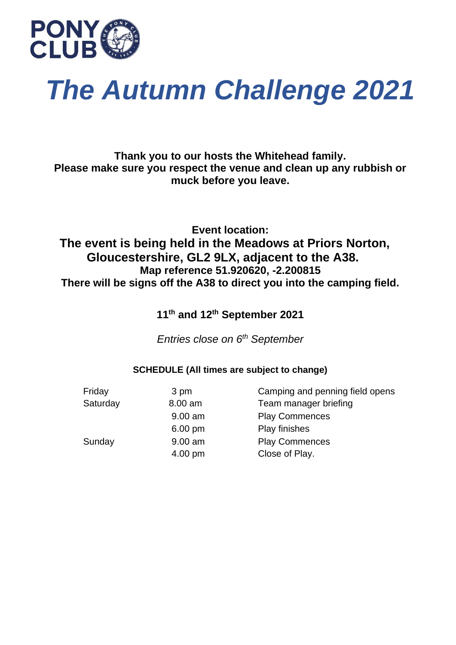

# *The Autumn Challenge 2021*

**Thank you to our hosts the Whitehead family. Please make sure you respect the venue and clean up any rubbish or muck before you leave.**

### **Event location: The event is being held in the Meadows at Priors Norton, Gloucestershire, GL2 9LX, adjacent to the A38. Map reference 51.920620, -2.200815 There will be signs off the A38 to direct you into the camping field.**

## **11th and 12th September 2021**

*Entries close on 6th September* 

#### **SCHEDULE (All times are subject to change)**

| Friday   | 3 pm      | Camping and penning field opens |
|----------|-----------|---------------------------------|
| Saturday | 8.00 am   | Team manager briefing           |
|          | $9.00$ am | <b>Play Commences</b>           |
|          | 6.00 pm   | Play finishes                   |
| Sunday   | 9.00 am   | <b>Play Commences</b>           |
|          | 4.00 pm   | Close of Play.                  |
|          |           |                                 |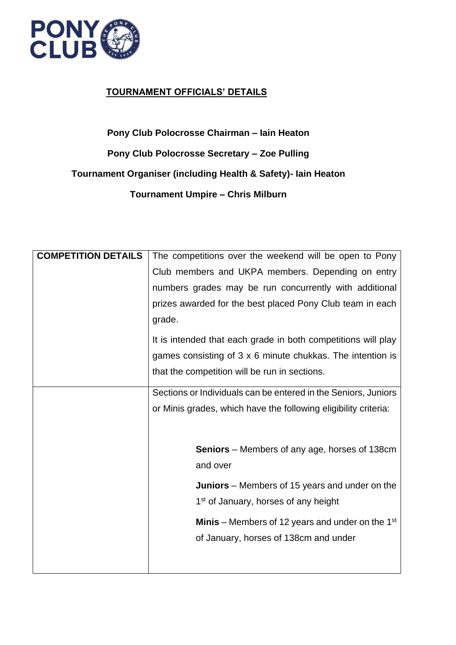

#### **TOURNAMENT OFFICIALS' DETAILS**

#### **Pony Club Polocrosse Chairman – Iain Heaton**

**Pony Club Polocrosse Secretary – Zoe Pulling**

**Tournament Organiser (including Health & Safety)- Iain Heaton**

**Tournament Umpire – Chris Milburn**

| <b>COMPETITION DETAILS</b> | The competitions over the weekend will be open to Pony                                             |  |  |
|----------------------------|----------------------------------------------------------------------------------------------------|--|--|
|                            | Club members and UKPA members. Depending on entry                                                  |  |  |
|                            | numbers grades may be run concurrently with additional                                             |  |  |
|                            | prizes awarded for the best placed Pony Club team in each                                          |  |  |
|                            | grade.                                                                                             |  |  |
|                            | It is intended that each grade in both competitions will play                                      |  |  |
|                            | games consisting of 3 x 6 minute chukkas. The intention is                                         |  |  |
|                            | that the competition will be run in sections.                                                      |  |  |
|                            | Sections or Individuals can be entered in the Seniors, Juniors                                     |  |  |
|                            | or Minis grades, which have the following eligibility criteria:                                    |  |  |
|                            |                                                                                                    |  |  |
|                            | <b>Seniors</b> – Members of any age, horses of 138cm                                               |  |  |
|                            | and over                                                                                           |  |  |
|                            | <b>Juniors</b> – Members of 15 years and under on the                                              |  |  |
|                            | 1 <sup>st</sup> of January, horses of any height                                                   |  |  |
|                            | <b>Minis</b> – Members of 12 years and under on the $1st$<br>of January, horses of 138cm and under |  |  |
|                            |                                                                                                    |  |  |
|                            |                                                                                                    |  |  |
|                            |                                                                                                    |  |  |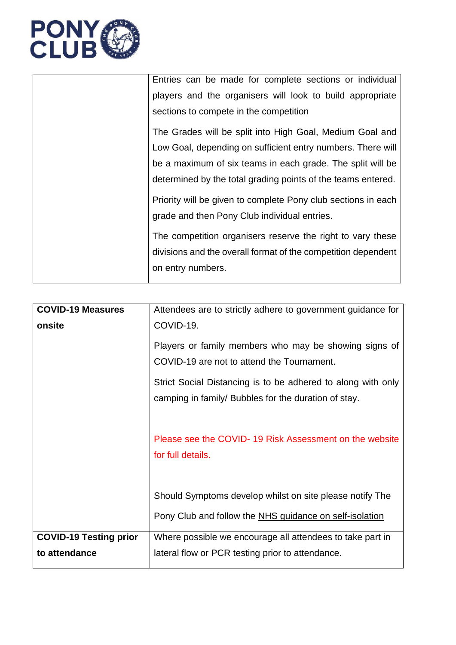

| Entries can be made for complete sections or individual       |
|---------------------------------------------------------------|
| players and the organisers will look to build appropriate     |
| sections to compete in the competition                        |
| The Grades will be split into High Goal, Medium Goal and      |
| Low Goal, depending on sufficient entry numbers. There will   |
| be a maximum of six teams in each grade. The split will be    |
| determined by the total grading points of the teams entered.  |
| Priority will be given to complete Pony club sections in each |
| grade and then Pony Club individual entries.                  |
| The competition organisers reserve the right to vary these    |
| divisions and the overall format of the competition dependent |
| on entry numbers.                                             |
|                                                               |

| <b>COVID-19 Measures</b>      | Attendees are to strictly adhere to government guidance for                 |  |
|-------------------------------|-----------------------------------------------------------------------------|--|
| onsite                        | COVID-19.                                                                   |  |
|                               | Players or family members who may be showing signs of                       |  |
|                               | COVID-19 are not to attend the Tournament.                                  |  |
|                               | Strict Social Distancing is to be adhered to along with only                |  |
|                               | camping in family/ Bubbles for the duration of stay.                        |  |
|                               | Please see the COVID-19 Risk Assessment on the website<br>for full details. |  |
|                               | Should Symptoms develop whilst on site please notify The                    |  |
|                               | Pony Club and follow the NHS guidance on self-isolation                     |  |
| <b>COVID-19 Testing prior</b> | Where possible we encourage all attendees to take part in                   |  |
| to attendance                 | lateral flow or PCR testing prior to attendance.                            |  |
|                               |                                                                             |  |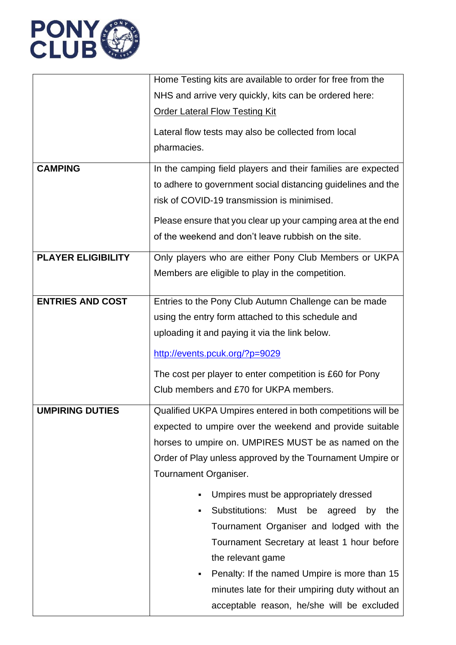

|                           | Home Testing kits are available to order for free from the   |  |  |
|---------------------------|--------------------------------------------------------------|--|--|
|                           | NHS and arrive very quickly, kits can be ordered here:       |  |  |
|                           | <b>Order Lateral Flow Testing Kit</b>                        |  |  |
|                           | Lateral flow tests may also be collected from local          |  |  |
|                           |                                                              |  |  |
|                           | pharmacies.                                                  |  |  |
| <b>CAMPING</b>            | In the camping field players and their families are expected |  |  |
|                           | to adhere to government social distancing guidelines and the |  |  |
|                           | risk of COVID-19 transmission is minimised.                  |  |  |
|                           | Please ensure that you clear up your camping area at the end |  |  |
|                           | of the weekend and don't leave rubbish on the site.          |  |  |
| <b>PLAYER ELIGIBILITY</b> |                                                              |  |  |
|                           | Only players who are either Pony Club Members or UKPA        |  |  |
|                           | Members are eligible to play in the competition.             |  |  |
| <b>ENTRIES AND COST</b>   | Entries to the Pony Club Autumn Challenge can be made        |  |  |
|                           | using the entry form attached to this schedule and           |  |  |
|                           | uploading it and paying it via the link below.               |  |  |
|                           | http://events.pcuk.org/?p=9029                               |  |  |
|                           |                                                              |  |  |
|                           | The cost per player to enter competition is £60 for Pony     |  |  |
|                           | Club members and £70 for UKPA members.                       |  |  |
| <b>UMPIRING DUTIES</b>    | Qualified UKPA Umpires entered in both competitions will be  |  |  |
|                           | expected to umpire over the weekend and provide suitable     |  |  |
|                           | horses to umpire on. UMPIRES MUST be as named on the         |  |  |
|                           | Order of Play unless approved by the Tournament Umpire or    |  |  |
|                           | Tournament Organiser.                                        |  |  |
|                           |                                                              |  |  |
|                           | Umpires must be appropriately dressed<br>٠                   |  |  |
|                           | Substitutions: Must be<br>by<br>agreed<br>the<br>٠           |  |  |
|                           | Tournament Organiser and lodged with the                     |  |  |
|                           | Tournament Secretary at least 1 hour before                  |  |  |
|                           | the relevant game                                            |  |  |
|                           | Penalty: If the named Umpire is more than 15<br>٠            |  |  |
|                           | minutes late for their umpiring duty without an              |  |  |
|                           | acceptable reason, he/she will be excluded                   |  |  |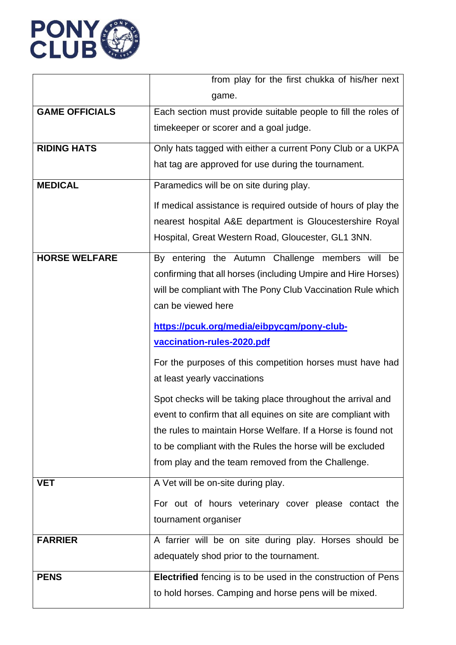

|                       | from play for the first chukka of his/her next                 |  |  |
|-----------------------|----------------------------------------------------------------|--|--|
|                       | game.                                                          |  |  |
| <b>GAME OFFICIALS</b> | Each section must provide suitable people to fill the roles of |  |  |
|                       | timekeeper or scorer and a goal judge.                         |  |  |
| <b>RIDING HATS</b>    | Only hats tagged with either a current Pony Club or a UKPA     |  |  |
|                       | hat tag are approved for use during the tournament.            |  |  |
| <b>MEDICAL</b>        | Paramedics will be on site during play.                        |  |  |
|                       | If medical assistance is required outside of hours of play the |  |  |
|                       | nearest hospital A&E department is Gloucestershire Royal       |  |  |
|                       | Hospital, Great Western Road, Gloucester, GL1 3NN.             |  |  |
| <b>HORSE WELFARE</b>  | By entering the Autumn Challenge members will be               |  |  |
|                       | confirming that all horses (including Umpire and Hire Horses)  |  |  |
|                       | will be compliant with The Pony Club Vaccination Rule which    |  |  |
|                       | can be viewed here                                             |  |  |
|                       | https://pcuk.org/media/eibpycgm/pony-club-                     |  |  |
|                       | vaccination-rules-2020.pdf                                     |  |  |
|                       | For the purposes of this competition horses must have had      |  |  |
|                       | at least yearly vaccinations                                   |  |  |
|                       | Spot checks will be taking place throughout the arrival and    |  |  |
|                       | event to confirm that all equines on site are compliant with   |  |  |
|                       | the rules to maintain Horse Welfare. If a Horse is found not   |  |  |
|                       | to be compliant with the Rules the horse will be excluded      |  |  |
|                       | from play and the team removed from the Challenge.             |  |  |
| <b>VET</b>            | A Vet will be on-site during play.                             |  |  |
|                       |                                                                |  |  |
|                       | For out of hours veterinary cover please contact the           |  |  |
|                       | tournament organiser                                           |  |  |
| <b>FARRIER</b>        | A farrier will be on site during play. Horses should be        |  |  |
|                       | adequately shod prior to the tournament.                       |  |  |
| <b>PENS</b>           | Electrified fencing is to be used in the construction of Pens  |  |  |
|                       | to hold horses. Camping and horse pens will be mixed.          |  |  |
|                       |                                                                |  |  |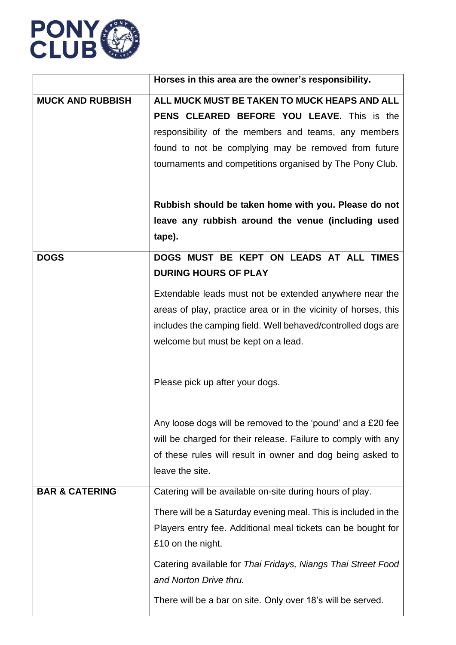

|                           | Horses in this area are the owner's responsibility.             |  |  |
|---------------------------|-----------------------------------------------------------------|--|--|
| <b>MUCK AND RUBBISH</b>   | ALL MUCK MUST BE TAKEN TO MUCK HEAPS AND ALL                    |  |  |
|                           | PENS CLEARED BEFORE YOU LEAVE. This is the                      |  |  |
|                           | responsibility of the members and teams, any members            |  |  |
|                           | found to not be complying may be removed from future            |  |  |
|                           | tournaments and competitions organised by The Pony Club.        |  |  |
|                           |                                                                 |  |  |
|                           | Rubbish should be taken home with you. Please do not            |  |  |
|                           | leave any rubbish around the venue (including used              |  |  |
|                           | tape).                                                          |  |  |
| <b>DOGS</b>               | DOGS MUST BE KEPT ON LEADS AT ALL TIMES                         |  |  |
|                           | <b>DURING HOURS OF PLAY</b>                                     |  |  |
|                           | Extendable leads must not be extended anywhere near the         |  |  |
|                           | areas of play, practice area or in the vicinity of horses, this |  |  |
|                           | includes the camping field. Well behaved/controlled dogs are    |  |  |
|                           | welcome but must be kept on a lead.                             |  |  |
|                           |                                                                 |  |  |
|                           | Please pick up after your dogs.                                 |  |  |
|                           |                                                                 |  |  |
|                           | Any loose dogs will be removed to the 'pound' and a £20 fee     |  |  |
|                           | will be charged for their release. Failure to comply with any   |  |  |
|                           | of these rules will result in owner and dog being asked to      |  |  |
|                           | leave the site.                                                 |  |  |
| <b>BAR &amp; CATERING</b> | Catering will be available on-site during hours of play.        |  |  |
|                           | There will be a Saturday evening meal. This is included in the  |  |  |
|                           | Players entry fee. Additional meal tickets can be bought for    |  |  |
|                           | £10 on the night.                                               |  |  |
|                           | Catering available for Thai Fridays, Niangs Thai Street Food    |  |  |
|                           | and Norton Drive thru.                                          |  |  |
|                           | There will be a bar on site. Only over 18's will be served.     |  |  |
|                           |                                                                 |  |  |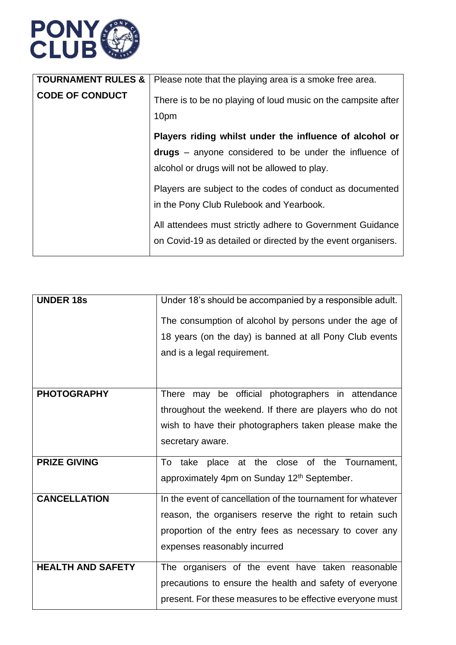

| <b>TOURNAMENT RULES &amp;</b> | Please note that the playing area is a smoke free area.                                                                          |  |
|-------------------------------|----------------------------------------------------------------------------------------------------------------------------------|--|
| <b>CODE OF CONDUCT</b>        | There is to be no playing of loud music on the campsite after<br>10pm<br>Players riding whilst under the influence of alcohol or |  |
|                               |                                                                                                                                  |  |
|                               | drugs – anyone considered to be under the influence of                                                                           |  |
|                               | alcohol or drugs will not be allowed to play.                                                                                    |  |
|                               | Players are subject to the codes of conduct as documented<br>in the Pony Club Rulebook and Yearbook.                             |  |
|                               | All attendees must strictly adhere to Government Guidance<br>on Covid-19 as detailed or directed by the event organisers.        |  |

| <b>UNDER 18s</b>         | Under 18's should be accompanied by a responsible adult.    |  |  |
|--------------------------|-------------------------------------------------------------|--|--|
|                          | The consumption of alcohol by persons under the age of      |  |  |
|                          | 18 years (on the day) is banned at all Pony Club events     |  |  |
|                          | and is a legal requirement.                                 |  |  |
|                          |                                                             |  |  |
| <b>PHOTOGRAPHY</b>       | There may be official photographers in attendance           |  |  |
|                          | throughout the weekend. If there are players who do not     |  |  |
|                          | wish to have their photographers taken please make the      |  |  |
|                          | secretary aware.                                            |  |  |
| <b>PRIZE GIVING</b>      | To take place at the close of the Tournament,               |  |  |
|                          | approximately 4pm on Sunday 12 <sup>th</sup> September.     |  |  |
| <b>CANCELLATION</b>      | In the event of cancellation of the tournament for whatever |  |  |
|                          | reason, the organisers reserve the right to retain such     |  |  |
|                          | proportion of the entry fees as necessary to cover any      |  |  |
|                          | expenses reasonably incurred                                |  |  |
| <b>HEALTH AND SAFETY</b> | The organisers of the event have taken reasonable           |  |  |
|                          | precautions to ensure the health and safety of everyone     |  |  |
|                          | present. For these measures to be effective everyone must   |  |  |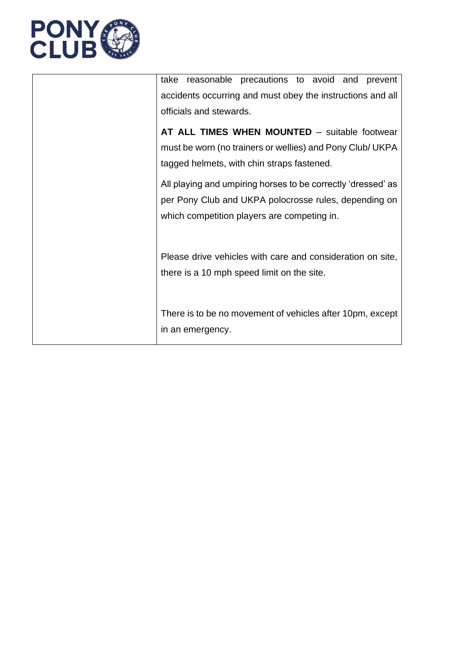

| reasonable precautions to avoid and<br>take<br>prevent       |  |
|--------------------------------------------------------------|--|
| accidents occurring and must obey the instructions and all   |  |
| officials and stewards.                                      |  |
| AT ALL TIMES WHEN MOUNTED - suitable footwear                |  |
|                                                              |  |
| must be worn (no trainers or wellies) and Pony Club/ UKPA    |  |
| tagged helmets, with chin straps fastened.                   |  |
| All playing and umpiring horses to be correctly 'dressed' as |  |
| per Pony Club and UKPA polocrosse rules, depending on        |  |
| which competition players are competing in.                  |  |
|                                                              |  |
| Please drive vehicles with care and consideration on site,   |  |
| there is a 10 mph speed limit on the site.                   |  |
|                                                              |  |
| There is to be no movement of vehicles after 10pm, except    |  |
| in an emergency.                                             |  |
|                                                              |  |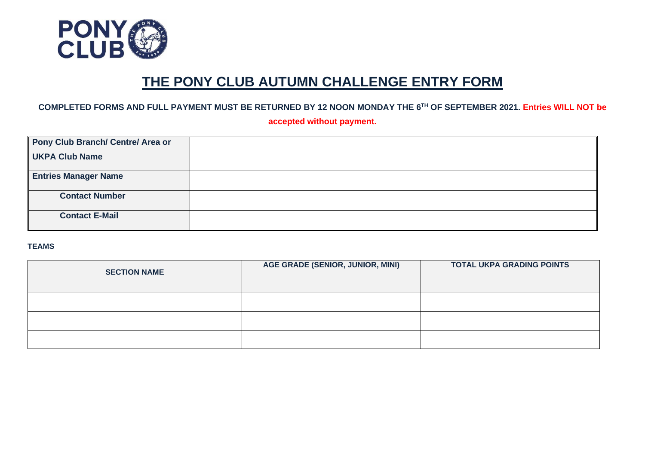

# **THE PONY CLUB AUTUMN CHALLENGE ENTRY FORM**

#### **COMPLETED FORMS AND FULL PAYMENT MUST BE RETURNED BY 12 NOON MONDAY THE 6TH OF SEPTEMBER 2021. Entries WILL NOT be**

#### **accepted without payment.**

| Pony Club Branch/ Centre/ Area or |  |
|-----------------------------------|--|
| <b>UKPA Club Name</b>             |  |
| <b>Entries Manager Name</b>       |  |
| <b>Contact Number</b>             |  |
| <b>Contact E-Mail</b>             |  |

#### **TEAMS**

| <b>SECTION NAME</b> | <b>AGE GRADE (SENIOR, JUNIOR, MINI)</b> | <b>TOTAL UKPA GRADING POINTS</b> |
|---------------------|-----------------------------------------|----------------------------------|
|                     |                                         |                                  |
|                     |                                         |                                  |
|                     |                                         |                                  |